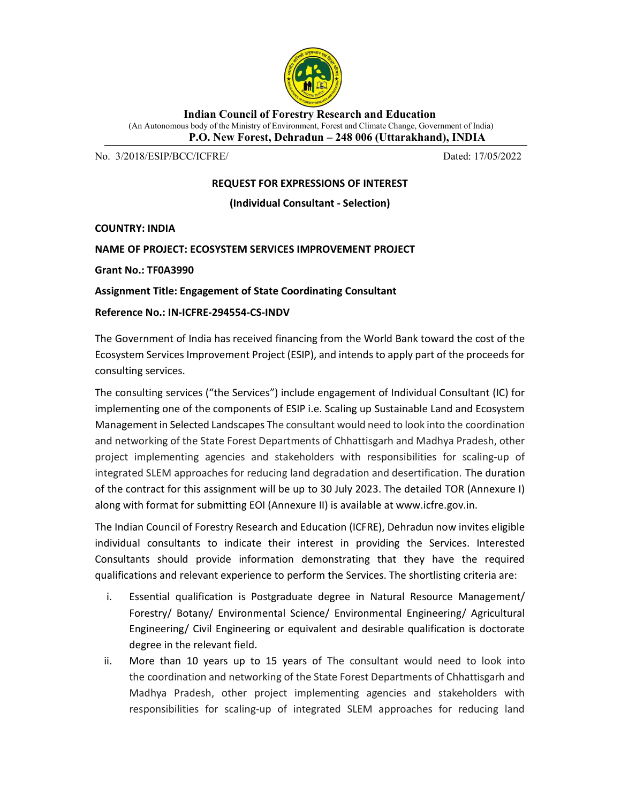

Indian Council of Forestry Research and Education (An Autonomous body of the Ministry of Environment, Forest and Climate Change, Government of India) P.O. New Forest, Dehradun – 248 006 (Uttarakhand), INDIA

No. 3/2018/ESIP/BCC/ICFRE/ Dated: 17/05/2022

### REQUEST FOR EXPRESSIONS OF INTEREST

(Individual Consultant - Selection)

COUNTRY: INDIA

### NAME OF PROJECT: ECOSYSTEM SERVICES IMPROVEMENT PROJECT

Grant No.: TF0A3990

### Assignment Title: Engagement of State Coordinating Consultant

### Reference No.: IN-ICFRE-294554-CS-INDV

The Government of India has received financing from the World Bank toward the cost of the Ecosystem Services Improvement Project (ESIP), and intends to apply part of the proceeds for consulting services.

The consulting services ("the Services") include engagement of Individual Consultant (IC) for implementing one of the components of ESIP i.e. Scaling up Sustainable Land and Ecosystem Management in Selected Landscapes The consultant would need to look into the coordination and networking of the State Forest Departments of Chhattisgarh and Madhya Pradesh, other project implementing agencies and stakeholders with responsibilities for scaling-up of integrated SLEM approaches for reducing land degradation and desertification. The duration of the contract for this assignment will be up to 30 July 2023. The detailed TOR (Annexure I) along with format for submitting EOI (Annexure II) is available at www.icfre.gov.in.

The Indian Council of Forestry Research and Education (ICFRE), Dehradun now invites eligible individual consultants to indicate their interest in providing the Services. Interested Consultants should provide information demonstrating that they have the required qualifications and relevant experience to perform the Services. The shortlisting criteria are:

- i. Essential qualification is Postgraduate degree in Natural Resource Management/ Forestry/ Botany/ Environmental Science/ Environmental Engineering/ Agricultural Engineering/ Civil Engineering or equivalent and desirable qualification is doctorate degree in the relevant field.
- ii. More than 10 years up to 15 years of The consultant would need to look into the coordination and networking of the State Forest Departments of Chhattisgarh and Madhya Pradesh, other project implementing agencies and stakeholders with responsibilities for scaling-up of integrated SLEM approaches for reducing land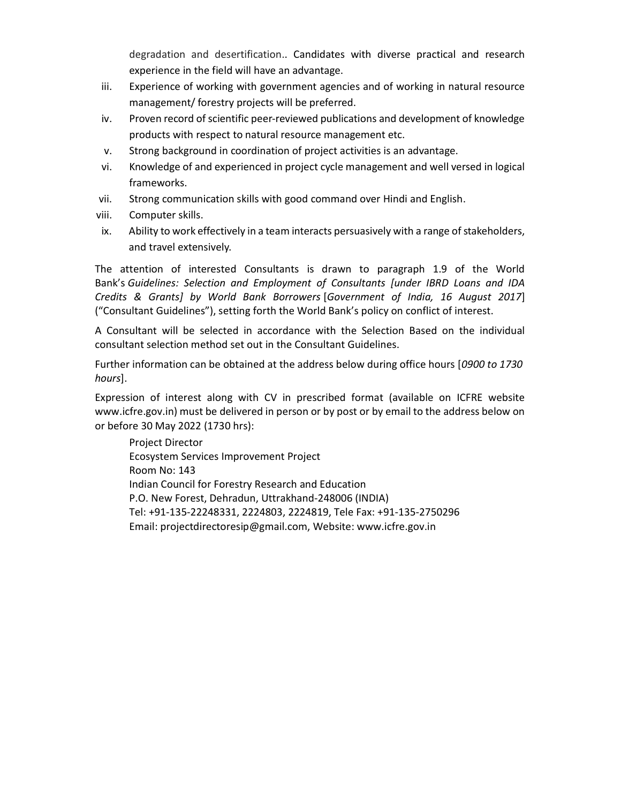degradation and desertification.. Candidates with diverse practical and research experience in the field will have an advantage.

- iii. Experience of working with government agencies and of working in natural resource management/ forestry projects will be preferred.
- iv. Proven record of scientific peer-reviewed publications and development of knowledge products with respect to natural resource management etc.
- v. Strong background in coordination of project activities is an advantage.
- vi. Knowledge of and experienced in project cycle management and well versed in logical frameworks.
- vii. Strong communication skills with good command over Hindi and English.
- viii. Computer skills.
- ix. Ability to work effectively in a team interacts persuasively with a range of stakeholders, and travel extensively.

The attention of interested Consultants is drawn to paragraph 1.9 of the World Bank's Guidelines: Selection and Employment of Consultants [under IBRD Loans and IDA Credits & Grants] by World Bank Borrowers [Government of India, 16 August 2017] ("Consultant Guidelines"), setting forth the World Bank's policy on conflict of interest.

A Consultant will be selected in accordance with the Selection Based on the individual consultant selection method set out in the Consultant Guidelines.

Further information can be obtained at the address below during office hours [0900 to 1730 hours].

Expression of interest along with CV in prescribed format (available on ICFRE website www.icfre.gov.in) must be delivered in person or by post or by email to the address below on or before 30 May 2022 (1730 hrs):

Project Director Ecosystem Services Improvement Project Room No: 143 Indian Council for Forestry Research and Education P.O. New Forest, Dehradun, Uttrakhand-248006 (INDIA) Tel: +91-135-22248331, 2224803, 2224819, Tele Fax: +91-135-2750296 Email: projectdirectoresip@gmail.com, Website: www.icfre.gov.in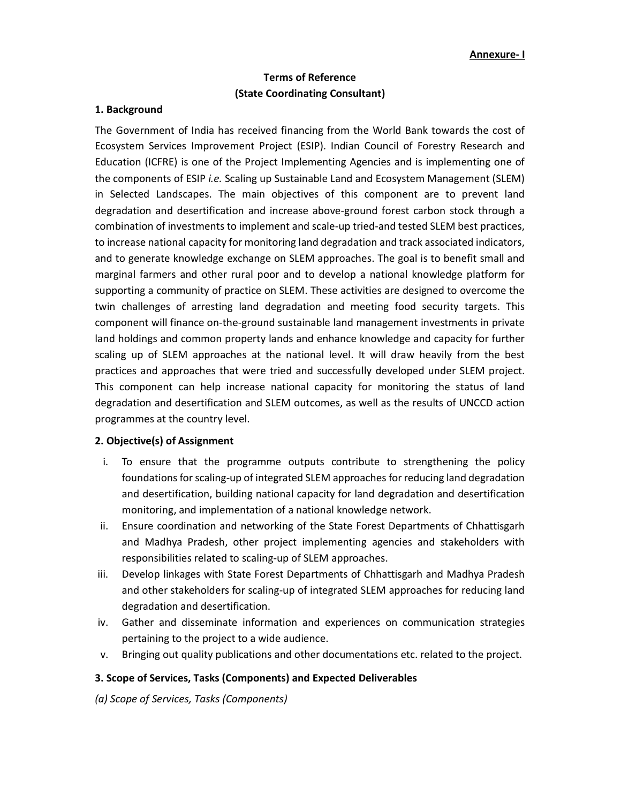## Terms of Reference (State Coordinating Consultant)

#### 1. Background

The Government of India has received financing from the World Bank towards the cost of Ecosystem Services Improvement Project (ESIP). Indian Council of Forestry Research and Education (ICFRE) is one of the Project Implementing Agencies and is implementing one of the components of ESIP *i.e.* Scaling up Sustainable Land and Ecosystem Management (SLEM) in Selected Landscapes. The main objectives of this component are to prevent land degradation and desertification and increase above-ground forest carbon stock through a combination of investments to implement and scale-up tried-and tested SLEM best practices, to increase national capacity for monitoring land degradation and track associated indicators, and to generate knowledge exchange on SLEM approaches. The goal is to benefit small and marginal farmers and other rural poor and to develop a national knowledge platform for supporting a community of practice on SLEM. These activities are designed to overcome the twin challenges of arresting land degradation and meeting food security targets. This component will finance on-the-ground sustainable land management investments in private land holdings and common property lands and enhance knowledge and capacity for further scaling up of SLEM approaches at the national level. It will draw heavily from the best practices and approaches that were tried and successfully developed under SLEM project. This component can help increase national capacity for monitoring the status of land degradation and desertification and SLEM outcomes, as well as the results of UNCCD action programmes at the country level.

#### 2. Objective(s) of Assignment

- i. To ensure that the programme outputs contribute to strengthening the policy foundations for scaling-up of integrated SLEM approaches for reducing land degradation and desertification, building national capacity for land degradation and desertification monitoring, and implementation of a national knowledge network.
- ii. Ensure coordination and networking of the State Forest Departments of Chhattisgarh and Madhya Pradesh, other project implementing agencies and stakeholders with responsibilities related to scaling-up of SLEM approaches.
- iii. Develop linkages with State Forest Departments of Chhattisgarh and Madhya Pradesh and other stakeholders for scaling-up of integrated SLEM approaches for reducing land degradation and desertification.
- iv. Gather and disseminate information and experiences on communication strategies pertaining to the project to a wide audience.
- v. Bringing out quality publications and other documentations etc. related to the project.

#### 3. Scope of Services, Tasks (Components) and Expected Deliverables

(a) Scope of Services, Tasks (Components)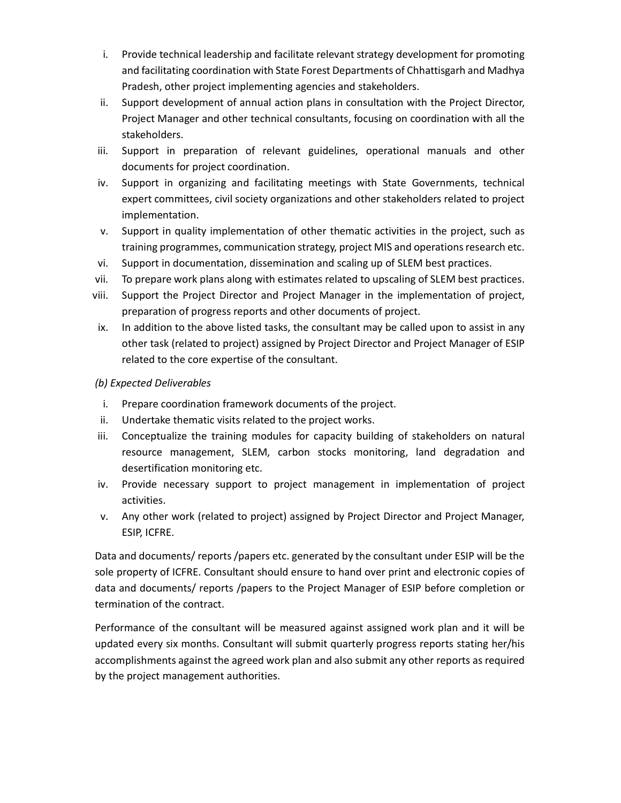- i. Provide technical leadership and facilitate relevant strategy development for promoting and facilitating coordination with State Forest Departments of Chhattisgarh and Madhya Pradesh, other project implementing agencies and stakeholders.
- ii. Support development of annual action plans in consultation with the Project Director, Project Manager and other technical consultants, focusing on coordination with all the stakeholders.
- iii. Support in preparation of relevant guidelines, operational manuals and other documents for project coordination.
- iv. Support in organizing and facilitating meetings with State Governments, technical expert committees, civil society organizations and other stakeholders related to project implementation.
- v. Support in quality implementation of other thematic activities in the project, such as training programmes, communication strategy, project MIS and operations research etc.
- vi. Support in documentation, dissemination and scaling up of SLEM best practices.
- vii. To prepare work plans along with estimates related to upscaling of SLEM best practices.
- viii. Support the Project Director and Project Manager in the implementation of project, preparation of progress reports and other documents of project.
- ix. In addition to the above listed tasks, the consultant may be called upon to assist in any other task (related to project) assigned by Project Director and Project Manager of ESIP related to the core expertise of the consultant.

### (b) Expected Deliverables

- i. Prepare coordination framework documents of the project.
- ii. Undertake thematic visits related to the project works.
- iii. Conceptualize the training modules for capacity building of stakeholders on natural resource management, SLEM, carbon stocks monitoring, land degradation and desertification monitoring etc.
- iv. Provide necessary support to project management in implementation of project activities.
- v. Any other work (related to project) assigned by Project Director and Project Manager, ESIP, ICFRE.

Data and documents/ reports/papers etc. generated by the consultant under ESIP will be the sole property of ICFRE. Consultant should ensure to hand over print and electronic copies of data and documents/ reports /papers to the Project Manager of ESIP before completion or termination of the contract.

Performance of the consultant will be measured against assigned work plan and it will be updated every six months. Consultant will submit quarterly progress reports stating her/his accomplishments against the agreed work plan and also submit any other reports as required by the project management authorities.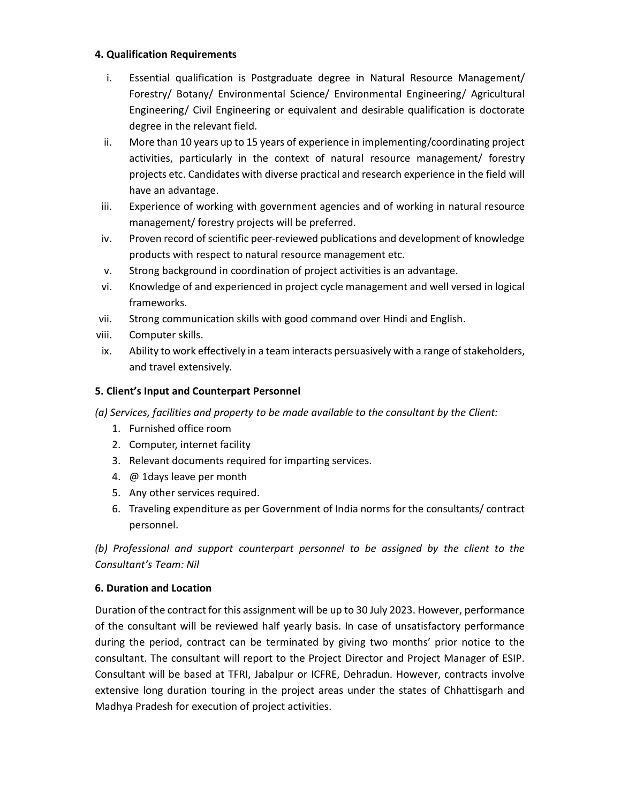### 4. Qualification Requirements

- i. Essential qualification is Postgraduate degree in Natural Resource Management/ Forestry/ Botany/ Environmental Science/ Environmental Engineering/ Agricultural Engineering/ Civil Engineering or equivalent and desirable qualification is doctorate degree in the relevant field.
- ii. More than 10 years up to 15 years of experience in implementing/coordinating project activities, particularly in the context of natural resource management/ forestry projects etc. Candidates with diverse practical and research experience in the field will have an advantage.
- iii. Experience of working with government agencies and of working in natural resource management/ forestry projects will be preferred.
- iv. Proven record of scientific peer-reviewed publications and development of knowledge products with respect to natural resource management etc.
- v. Strong background in coordination of project activities is an advantage.
- vi. Knowledge of and experienced in project cycle management and well versed in logical frameworks.
- vii. Strong communication skills with good command over Hindi and English.
- viii. Computer skills.
- ix. Ability to work effectively in a team interacts persuasively with a range of stakeholders, and travel extensively.

## 5. Client's Input and Counterpart Personnel

(a) Services, facilities and property to be made available to the consultant by the Client:

- 1. Furnished office room
- 2. Computer, internet facility
- 3. Relevant documents required for imparting services.
- 4. @ 1days leave per month
- 5. Any other services required.
- 6. Traveling expenditure as per Government of India norms for the consultants/ contract personnel.

(b) Professional and support counterpart personnel to be assigned by the client to the Consultant's Team: Nil

## 6. Duration and Location

Duration of the contract for this assignment will be up to 30 July 2023. However, performance of the consultant will be reviewed half yearly basis. In case of unsatisfactory performance during the period, contract can be terminated by giving two months' prior notice to the consultant. The consultant will report to the Project Director and Project Manager of ESIP. Consultant will be based at TFRI, Jabalpur or ICFRE, Dehradun. However, contracts involve extensive long duration touring in the project areas under the states of Chhattisgarh and Madhya Pradesh for execution of project activities.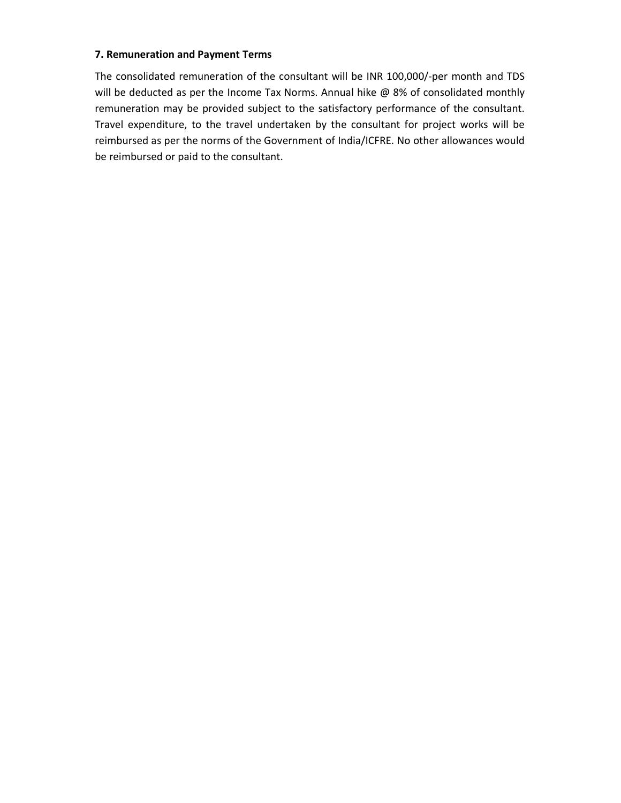#### 7. Remuneration and Payment Terms

The consolidated remuneration of the consultant will be INR 100,000/-per month and TDS will be deducted as per the Income Tax Norms. Annual hike @ 8% of consolidated monthly remuneration may be provided subject to the satisfactory performance of the consultant. Travel expenditure, to the travel undertaken by the consultant for project works will be reimbursed as per the norms of the Government of India/ICFRE. No other allowances would be reimbursed or paid to the consultant.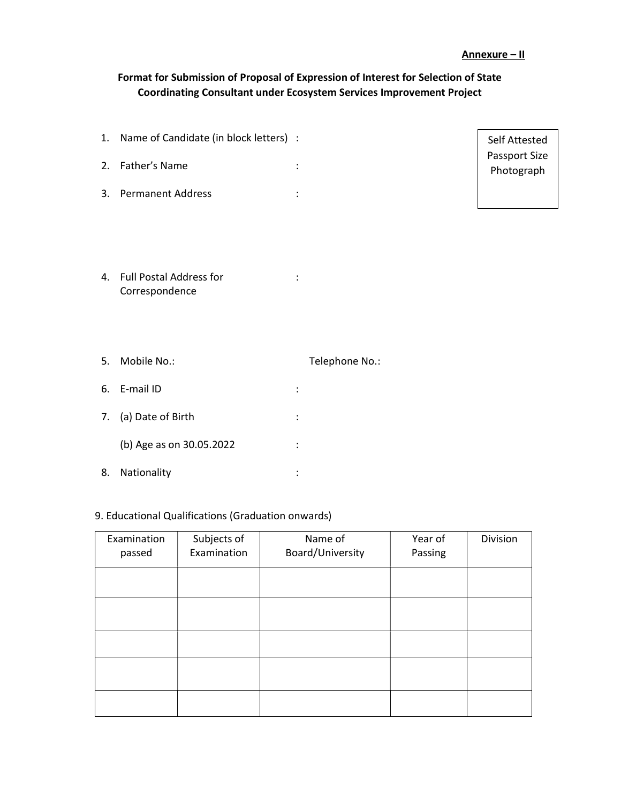# Format for Submission of Proposal of Expression of Interest for Selection of State Coordinating Consultant under Ecosystem Services Improvement Project

| 1. Name of Candidate (in block letters) : |         | Self Attested               |
|-------------------------------------------|---------|-----------------------------|
| 2. Father's Name                          | ٠       | Passport Size<br>Photograph |
| 3. Permanent Address                      | $\cdot$ |                             |
|                                           |         |                             |

4. Full Postal Address for Correspondence : 1994

| 5. | Mobile No.:              |                | Telephone No.: |
|----|--------------------------|----------------|----------------|
| 6. | E-mail ID                | $\ddot{\cdot}$ |                |
|    | 7. (a) Date of Birth     | $\ddot{\cdot}$ |                |
|    | (b) Age as on 30.05.2022 | :              |                |
| 8. | Nationality              | ٠              |                |

# 9. Educational Qualifications (Graduation onwards)

| Examination<br>passed | Subjects of<br>Examination | Name of<br>Board/University | Year of<br>Passing | Division |
|-----------------------|----------------------------|-----------------------------|--------------------|----------|
|                       |                            |                             |                    |          |
|                       |                            |                             |                    |          |
|                       |                            |                             |                    |          |
|                       |                            |                             |                    |          |
|                       |                            |                             |                    |          |